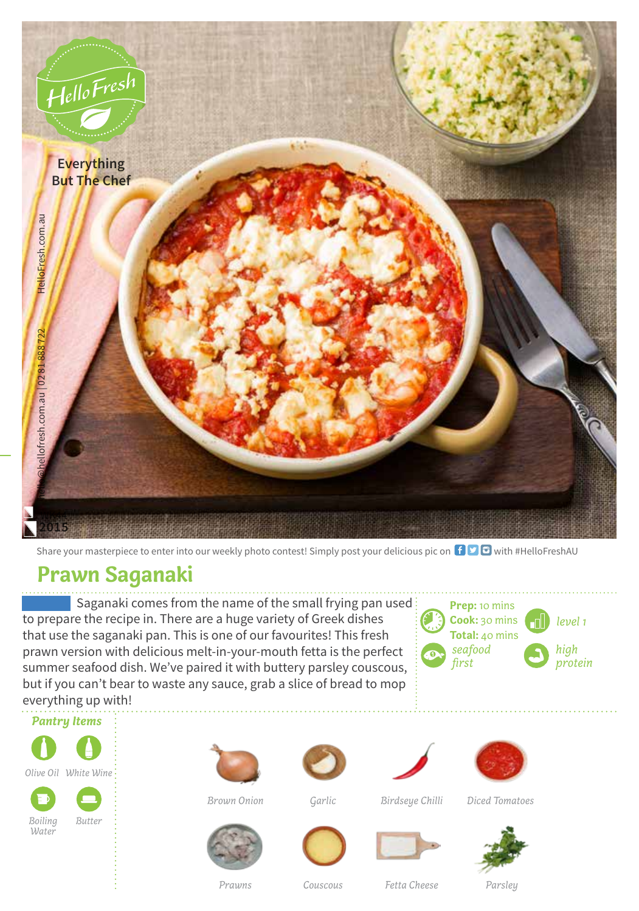

Share your masterpiece to enter into our weekly photo contest! Simply post your delicious pic on  $\bigoplus$   $\bigoplus$  with #HelloFreshAU

## **Prawn Saganaki**

Saganaki comes from the name of the small frying pan used: to prepare the recipe in. There are a huge variety of Greek dishes that use the saganaki pan. This is one of our favourites! This fresh prawn version with delicious melt-in-your-mouth fetta is the perfect summer seafood dish. We've paired it with buttery parsley couscous, but if you can't bear to waste any sauce, grab a slice of bread to mop everything up with!





*Water*

















*Couscous Parsley Prawns Fetta Cheese*